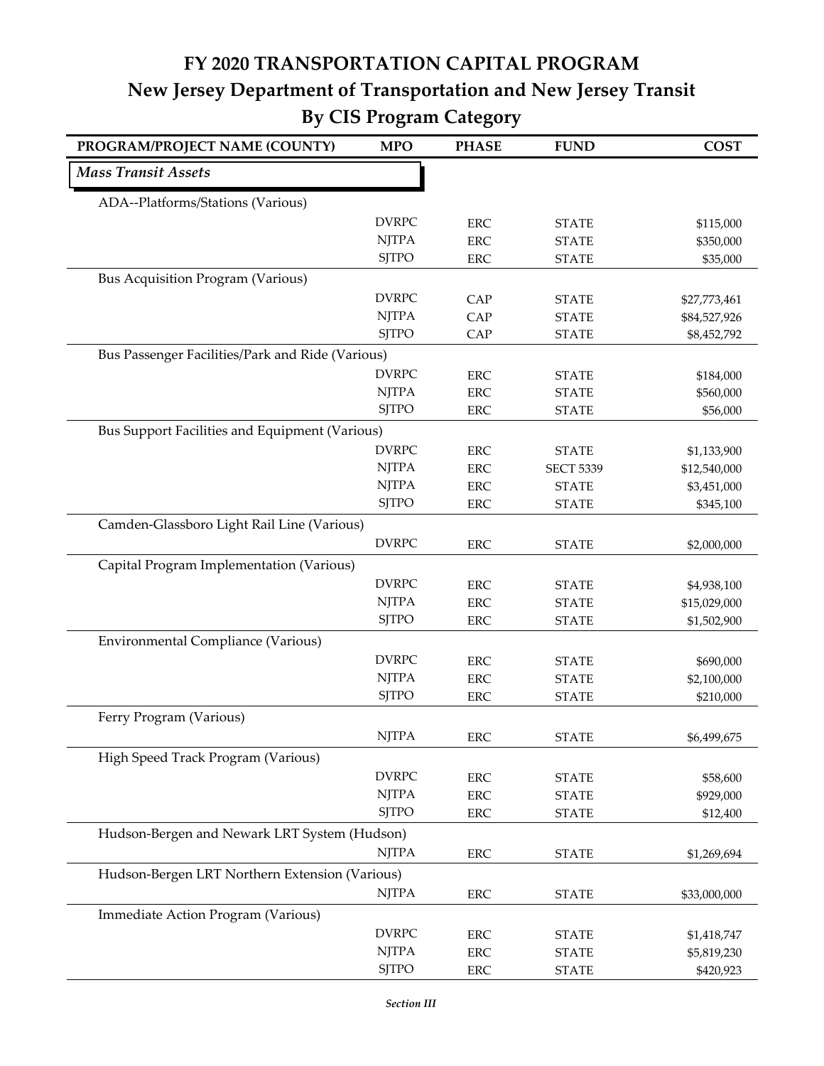## **FY 2020 TRANSPORTATION CAPITAL PROGRAM New Jersey Department of Transportation and New Jersey Transit By CIS Program Category**

| PROGRAM/PROJECT NAME (COUNTY)                    | <b>MPO</b>   | <b>PHASE</b> | <b>FUND</b>      | <b>COST</b>  |
|--------------------------------------------------|--------------|--------------|------------------|--------------|
| <b>Mass Transit Assets</b>                       |              |              |                  |              |
| ADA--Platforms/Stations (Various)                |              |              |                  |              |
|                                                  | <b>DVRPC</b> | <b>ERC</b>   | <b>STATE</b>     | \$115,000    |
|                                                  | <b>NJTPA</b> | <b>ERC</b>   | <b>STATE</b>     | \$350,000    |
|                                                  | <b>SJTPO</b> | <b>ERC</b>   | <b>STATE</b>     | \$35,000     |
| <b>Bus Acquisition Program (Various)</b>         |              |              |                  |              |
|                                                  | <b>DVRPC</b> | CAP          | <b>STATE</b>     | \$27,773,461 |
|                                                  | <b>NJTPA</b> | CAP          | <b>STATE</b>     | \$84,527,926 |
|                                                  | <b>SJTPO</b> | CAP          | <b>STATE</b>     | \$8,452,792  |
| Bus Passenger Facilities/Park and Ride (Various) |              |              |                  |              |
|                                                  | <b>DVRPC</b> | <b>ERC</b>   | <b>STATE</b>     | \$184,000    |
|                                                  | <b>NJTPA</b> | <b>ERC</b>   | <b>STATE</b>     | \$560,000    |
|                                                  | <b>SJTPO</b> | <b>ERC</b>   | <b>STATE</b>     | \$56,000     |
| Bus Support Facilities and Equipment (Various)   |              |              |                  |              |
|                                                  | <b>DVRPC</b> | <b>ERC</b>   | <b>STATE</b>     | \$1,133,900  |
|                                                  | <b>NJTPA</b> | <b>ERC</b>   | <b>SECT 5339</b> | \$12,540,000 |
|                                                  | <b>NJTPA</b> | <b>ERC</b>   | <b>STATE</b>     | \$3,451,000  |
|                                                  | <b>SJTPO</b> | <b>ERC</b>   | <b>STATE</b>     | \$345,100    |
| Camden-Glassboro Light Rail Line (Various)       |              |              |                  |              |
|                                                  | <b>DVRPC</b> | <b>ERC</b>   | <b>STATE</b>     | \$2,000,000  |
| Capital Program Implementation (Various)         |              |              |                  |              |
|                                                  | <b>DVRPC</b> | <b>ERC</b>   | <b>STATE</b>     | \$4,938,100  |
|                                                  | <b>NJTPA</b> | <b>ERC</b>   | <b>STATE</b>     | \$15,029,000 |
|                                                  | <b>SJTPO</b> | <b>ERC</b>   | <b>STATE</b>     | \$1,502,900  |
| Environmental Compliance (Various)               |              |              |                  |              |
|                                                  | <b>DVRPC</b> | <b>ERC</b>   | <b>STATE</b>     | \$690,000    |
|                                                  | <b>NJTPA</b> | <b>ERC</b>   | <b>STATE</b>     | \$2,100,000  |
|                                                  | <b>SJTPO</b> | <b>ERC</b>   | <b>STATE</b>     | \$210,000    |
| Ferry Program (Various)                          |              |              |                  |              |
|                                                  | <b>NJTPA</b> |              |                  |              |
|                                                  |              | ERC          | <b>STATE</b>     | \$6,499,675  |
| High Speed Track Program (Various)               |              |              |                  |              |
|                                                  | <b>DVRPC</b> | ERC          | <b>STATE</b>     | \$58,600     |
|                                                  | <b>NJTPA</b> | <b>ERC</b>   | <b>STATE</b>     | \$929,000    |
|                                                  | <b>SJTPO</b> | ERC          | <b>STATE</b>     | \$12,400     |
| Hudson-Bergen and Newark LRT System (Hudson)     |              |              |                  |              |
|                                                  | <b>NJTPA</b> | <b>ERC</b>   | <b>STATE</b>     | \$1,269,694  |
| Hudson-Bergen LRT Northern Extension (Various)   |              |              |                  |              |
|                                                  | <b>NJTPA</b> | <b>ERC</b>   | <b>STATE</b>     | \$33,000,000 |
| Immediate Action Program (Various)               |              |              |                  |              |
|                                                  | <b>DVRPC</b> | <b>ERC</b>   | <b>STATE</b>     | \$1,418,747  |
|                                                  | <b>NJTPA</b> | <b>ERC</b>   | <b>STATE</b>     | \$5,819,230  |
|                                                  | <b>SJTPO</b> | ERC          | <b>STATE</b>     | \$420,923    |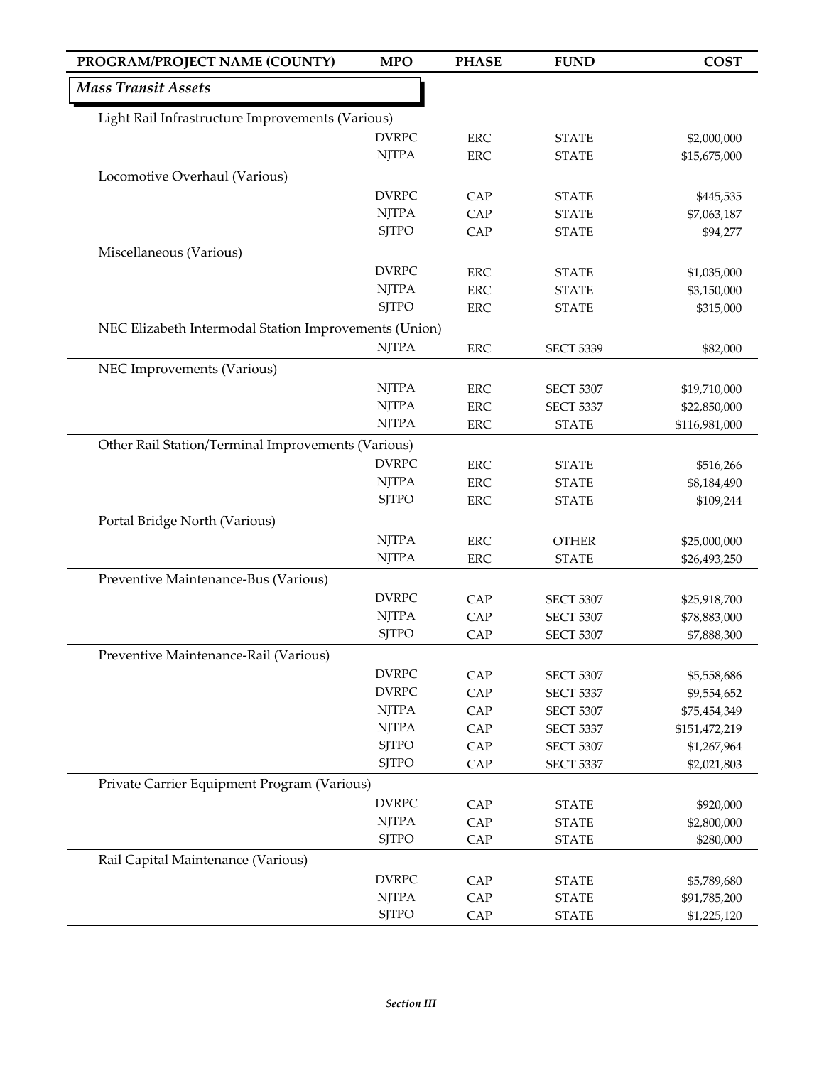| PROGRAM/PROJECT NAME (COUNTY)                         | <b>MPO</b>   | <b>PHASE</b> | <b>FUND</b>      | <b>COST</b>   |
|-------------------------------------------------------|--------------|--------------|------------------|---------------|
| <b>Mass Transit Assets</b>                            |              |              |                  |               |
| Light Rail Infrastructure Improvements (Various)      |              |              |                  |               |
|                                                       | <b>DVRPC</b> | <b>ERC</b>   | <b>STATE</b>     | \$2,000,000   |
|                                                       | <b>NJTPA</b> | <b>ERC</b>   | <b>STATE</b>     | \$15,675,000  |
| Locomotive Overhaul (Various)                         |              |              |                  |               |
|                                                       | <b>DVRPC</b> | CAP          | <b>STATE</b>     | \$445,535     |
|                                                       | <b>NJTPA</b> | <b>CAP</b>   | <b>STATE</b>     | \$7,063,187   |
|                                                       | <b>SJTPO</b> | CAP          | <b>STATE</b>     | \$94,277      |
| Miscellaneous (Various)                               |              |              |                  |               |
|                                                       | <b>DVRPC</b> | <b>ERC</b>   | <b>STATE</b>     | \$1,035,000   |
|                                                       | <b>NJTPA</b> | <b>ERC</b>   | <b>STATE</b>     | \$3,150,000   |
|                                                       | <b>SJTPO</b> | <b>ERC</b>   | <b>STATE</b>     | \$315,000     |
| NEC Elizabeth Intermodal Station Improvements (Union) |              |              |                  |               |
|                                                       | <b>NJTPA</b> | <b>ERC</b>   | <b>SECT 5339</b> | \$82,000      |
| NEC Improvements (Various)                            |              |              |                  |               |
|                                                       | <b>NJTPA</b> | <b>ERC</b>   | <b>SECT 5307</b> | \$19,710,000  |
|                                                       | <b>NJTPA</b> | <b>ERC</b>   | <b>SECT 5337</b> | \$22,850,000  |
|                                                       | <b>NJTPA</b> | <b>ERC</b>   | <b>STATE</b>     | \$116,981,000 |
| Other Rail Station/Terminal Improvements (Various)    |              |              |                  |               |
|                                                       | <b>DVRPC</b> | <b>ERC</b>   | <b>STATE</b>     | \$516,266     |
|                                                       | <b>NJTPA</b> | <b>ERC</b>   | <b>STATE</b>     | \$8,184,490   |
|                                                       | <b>SJTPO</b> | <b>ERC</b>   | <b>STATE</b>     | \$109,244     |
| Portal Bridge North (Various)                         |              |              |                  |               |
|                                                       | <b>NJTPA</b> | <b>ERC</b>   | <b>OTHER</b>     | \$25,000,000  |
|                                                       | <b>NJTPA</b> | <b>ERC</b>   | <b>STATE</b>     | \$26,493,250  |
| Preventive Maintenance-Bus (Various)                  |              |              |                  |               |
|                                                       | <b>DVRPC</b> | CAP          | <b>SECT 5307</b> | \$25,918,700  |
|                                                       | <b>NJTPA</b> | CAP          | <b>SECT 5307</b> | \$78,883,000  |
|                                                       | <b>SJTPO</b> | CAP          | <b>SECT 5307</b> | \$7,888,300   |
| Preventive Maintenance-Rail (Various)                 |              |              |                  |               |
|                                                       | <b>DVRPC</b> | CAP          | <b>SECT 5307</b> | \$5,558,686   |
|                                                       | <b>DVRPC</b> | CAP          | <b>SECT 5337</b> | \$9,554,652   |
|                                                       | <b>NJTPA</b> | CAP          | <b>SECT 5307</b> | \$75,454,349  |
|                                                       | <b>NJTPA</b> | CAP          | <b>SECT 5337</b> | \$151,472,219 |
|                                                       | <b>SJTPO</b> | CAP          | <b>SECT 5307</b> | \$1,267,964   |
|                                                       | <b>SJTPO</b> | CAP          | <b>SECT 5337</b> | \$2,021,803   |
| Private Carrier Equipment Program (Various)           |              |              |                  |               |
|                                                       | <b>DVRPC</b> | CAP          | <b>STATE</b>     | \$920,000     |
|                                                       | <b>NJTPA</b> | CAP          | <b>STATE</b>     | \$2,800,000   |
|                                                       | <b>SJTPO</b> | CAP          | <b>STATE</b>     | \$280,000     |
| Rail Capital Maintenance (Various)                    |              |              |                  |               |
|                                                       | <b>DVRPC</b> | CAP          | <b>STATE</b>     | \$5,789,680   |
|                                                       | <b>NJTPA</b> | CAP          | <b>STATE</b>     | \$91,785,200  |
|                                                       | <b>SJTPO</b> | CAP          | <b>STATE</b>     | \$1,225,120   |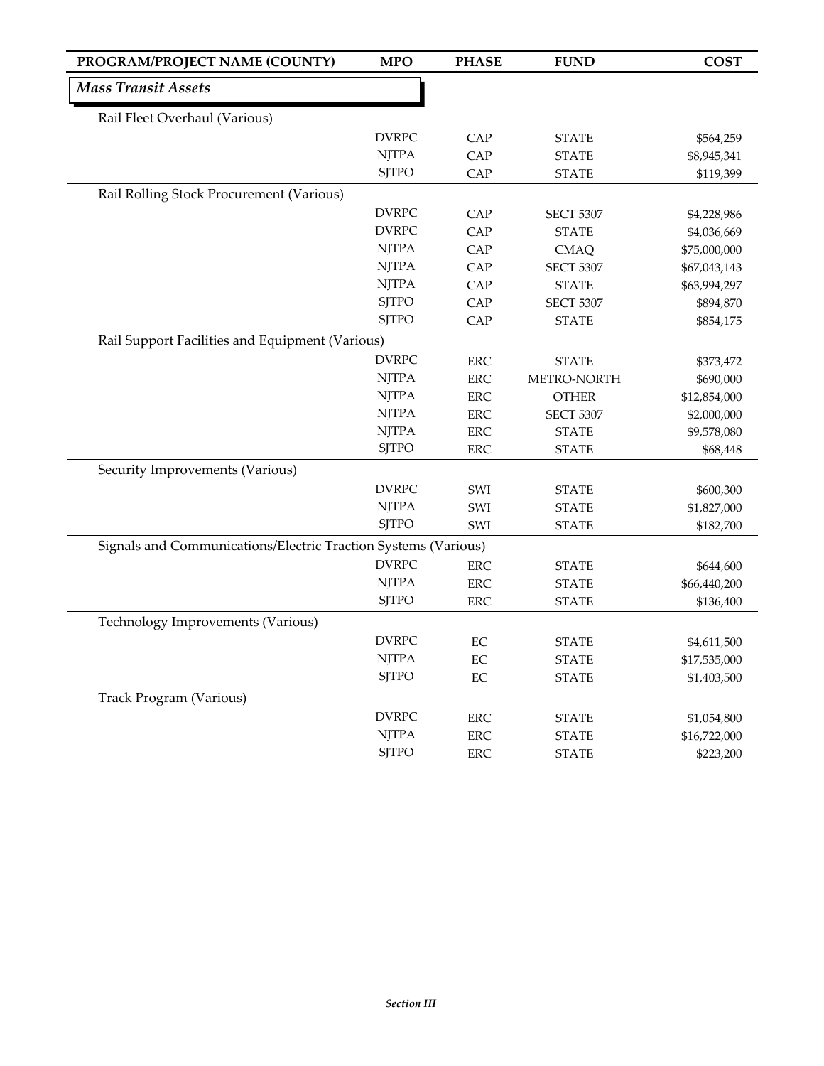| PROGRAM/PROJECT NAME (COUNTY)                                  | <b>MPO</b>   | <b>PHASE</b>             | <b>FUND</b>                      | <b>COST</b>                 |
|----------------------------------------------------------------|--------------|--------------------------|----------------------------------|-----------------------------|
| <b>Mass Transit Assets</b>                                     |              |                          |                                  |                             |
| Rail Fleet Overhaul (Various)                                  |              |                          |                                  |                             |
|                                                                | <b>DVRPC</b> | CAP                      | <b>STATE</b>                     | \$564,259                   |
|                                                                | <b>NJTPA</b> | CAP                      | <b>STATE</b>                     | \$8,945,341                 |
|                                                                | <b>SJTPO</b> | CAP                      | <b>STATE</b>                     | \$119,399                   |
| Rail Rolling Stock Procurement (Various)                       |              |                          |                                  |                             |
|                                                                | <b>DVRPC</b> | CAP                      |                                  |                             |
|                                                                | <b>DVRPC</b> | CAP                      | <b>SECT 5307</b><br><b>STATE</b> | \$4,228,986<br>\$4,036,669  |
|                                                                | <b>NJTPA</b> | CAP                      | <b>CMAQ</b>                      | \$75,000,000                |
|                                                                | <b>NJTPA</b> | CAP                      | <b>SECT 5307</b>                 | \$67,043,143                |
|                                                                | <b>NJTPA</b> | CAP                      | <b>STATE</b>                     | \$63,994,297                |
|                                                                | <b>SJTPO</b> | CAP                      | <b>SECT 5307</b>                 | \$894,870                   |
|                                                                | <b>SJTPO</b> | CAP                      | <b>STATE</b>                     | \$854,175                   |
| Rail Support Facilities and Equipment (Various)                |              |                          |                                  |                             |
|                                                                | <b>DVRPC</b> | <b>ERC</b>               | <b>STATE</b>                     | \$373,472                   |
|                                                                | <b>NJTPA</b> | <b>ERC</b>               | METRO-NORTH                      | \$690,000                   |
|                                                                | <b>NJTPA</b> | <b>ERC</b>               | <b>OTHER</b>                     | \$12,854,000                |
|                                                                | <b>NJTPA</b> | ERC                      | <b>SECT 5307</b>                 | \$2,000,000                 |
|                                                                | <b>NJTPA</b> | <b>ERC</b>               | <b>STATE</b>                     | \$9,578,080                 |
|                                                                | <b>SJTPO</b> | <b>ERC</b>               | <b>STATE</b>                     | \$68,448                    |
| Security Improvements (Various)                                |              |                          |                                  |                             |
|                                                                | <b>DVRPC</b> | SWI                      | <b>STATE</b>                     | \$600,300                   |
|                                                                | <b>NJTPA</b> | SWI                      | <b>STATE</b>                     | \$1,827,000                 |
|                                                                | <b>SJTPO</b> | SWI                      | <b>STATE</b>                     | \$182,700                   |
| Signals and Communications/Electric Traction Systems (Various) |              |                          |                                  |                             |
|                                                                | <b>DVRPC</b> | <b>ERC</b>               | <b>STATE</b>                     | \$644,600                   |
|                                                                | <b>NJTPA</b> | <b>ERC</b>               | <b>STATE</b>                     | \$66,440,200                |
|                                                                | <b>SJTPO</b> | <b>ERC</b>               | <b>STATE</b>                     | \$136,400                   |
| Technology Improvements (Various)                              |              |                          |                                  |                             |
|                                                                | <b>DVRPC</b> | EC                       | <b>STATE</b>                     |                             |
|                                                                | <b>NJTPA</b> | EC                       | <b>STATE</b>                     | \$4,611,500<br>\$17,535,000 |
|                                                                | <b>SJTPO</b> | $\rm EC$                 | <b>STATE</b>                     | \$1,403,500                 |
| Track Program (Various)                                        |              |                          |                                  |                             |
|                                                                | <b>DVRPC</b> |                          |                                  |                             |
|                                                                | <b>NJTPA</b> | <b>ERC</b><br><b>ERC</b> | <b>STATE</b>                     | \$1,054,800<br>\$16,722,000 |
|                                                                | <b>SJTPO</b> | ERC                      | <b>STATE</b><br><b>STATE</b>     | \$223,200                   |
|                                                                |              |                          |                                  |                             |